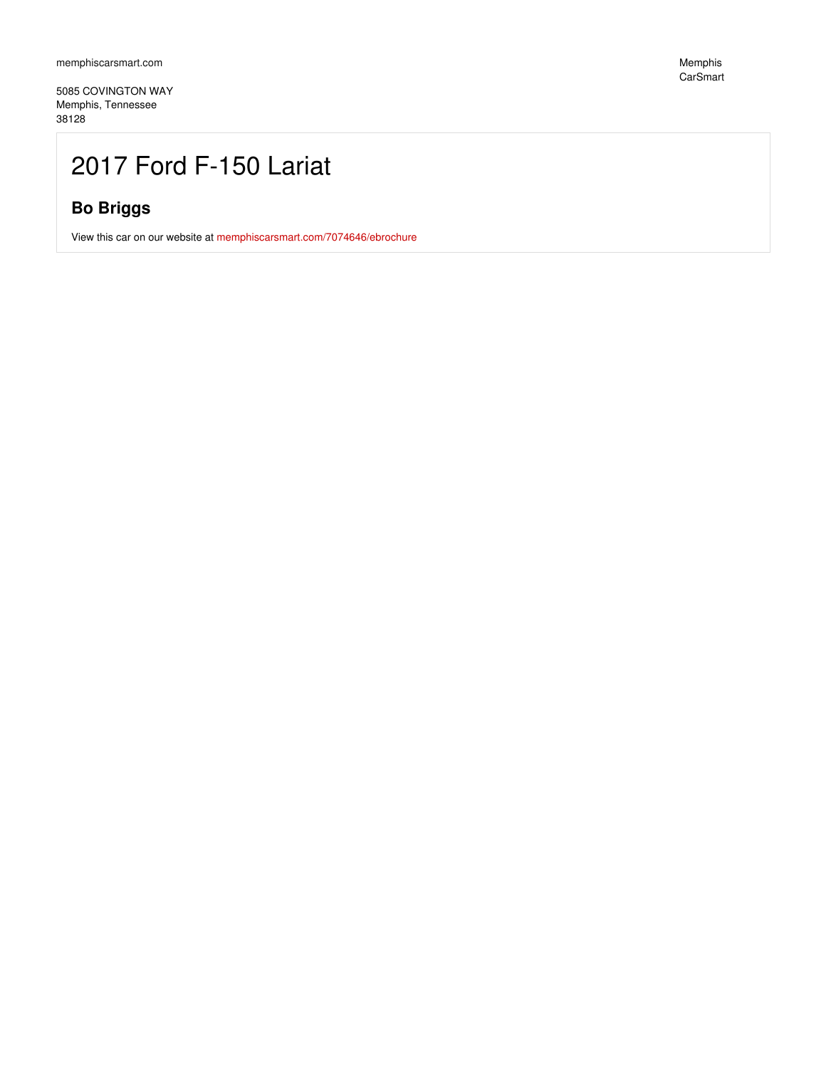5085 COVINGTON WAY Memphis, Tennessee 38128

## 2017 Ford F-150 Lariat

### **Bo Briggs**

View this car on our website at [memphiscarsmart.com/7074646/ebrochure](https://memphiscarsmart.com/vehicle/7074646/2017-ford-f-150-lariat-memphis-tennessee-38128/7074646/ebrochure)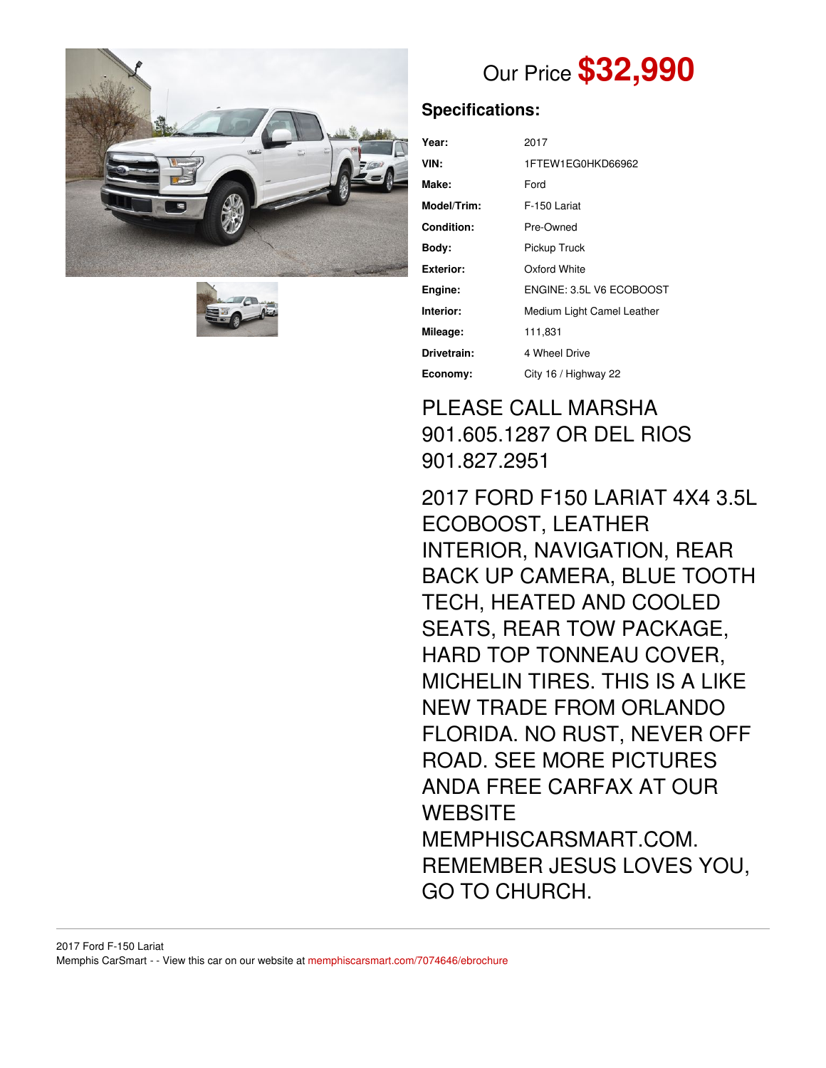



# Our Price **\$32,990**

### **Specifications:**

| Year:       | 2017                       |  |
|-------------|----------------------------|--|
| VIN:        | 1FTEW1EG0HKD66962          |  |
| Make:       | Ford                       |  |
| Model/Trim: | F-150 Lariat               |  |
| Condition:  | Pre-Owned                  |  |
| Body:       | Pickup Truck               |  |
| Exterior:   | Oxford White               |  |
| Engine:     | ENGINE: 3.5L V6 ECOBOOST   |  |
| Interior:   | Medium Light Camel Leather |  |
| Mileage:    | 111,831                    |  |
| Drivetrain: | 4 Wheel Drive              |  |
| Economy:    | City 16 / Highway 22       |  |

## PLEASE CALL MARSHA 901.605.1287 OR DEL RIOS 901.827.2951

2017 FORD F150 LARIAT 4X4 3.5L ECOBOOST, LEATHER INTERIOR, NAVIGATION, REAR BACK UP CAMERA, BLUE TOOTH TECH, HEATED AND COOLED SEATS, REAR TOW PACKAGE, HARD TOP TONNEAU COVER, MICHELIN TIRES. THIS IS A LIKE NEW TRADE FROM ORLANDO FLORIDA. NO RUST, NEVER OFF ROAD. SEE MORE PICTURES ANDA FREE CARFAX AT OUR **WEBSITE** MEMPHISCARSMART.COM. REMEMBER JESUS LOVES YOU, GO TO CHURCH.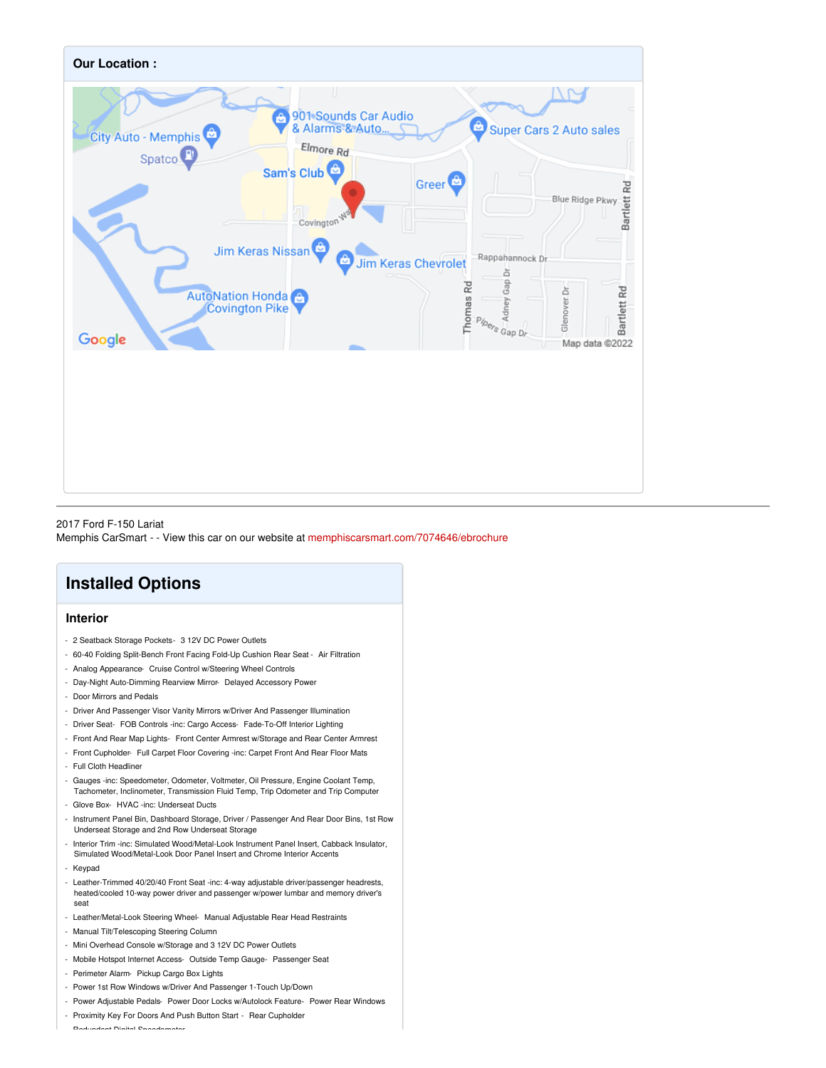

### 2017 Ford F-150 Lariat Memphis CarSmart - - View this car on our website at [memphiscarsmart.com/7074646/ebrochure](https://memphiscarsmart.com/vehicle/7074646/2017-ford-f-150-lariat-memphis-tennessee-38128/7074646/ebrochure)

### **Installed Options**

### **Interior**

- 2 Seatback Storage Pockets- 3 12V DC Power Outlets
- 60-40 Folding Split-Bench Front Facing Fold-Up Cushion Rear Seat Air Filtration
- Analog Appearance- Cruise Control w/Steering Wheel Controls
- Day-Night Auto-Dimming Rearview Mirror- Delayed Accessory Power
- Door Mirrors and Pedals
- Driver And Passenger Visor Vanity Mirrors w/Driver And Passenger Illumination
- Driver Seat- FOB Controls -inc: Cargo Access- Fade-To-Off Interior Lighting
- Front And Rear Map Lights- Front Center Armrest w/Storage and Rear Center Armrest
- Front Cupholder- Full Carpet Floor Covering -inc: Carpet Front And Rear Floor Mats
- Full Cloth Headliner
- Gauges -inc: Speedometer, Odometer, Voltmeter, Oil Pressure, Engine Coolant Temp, Tachometer, Inclinometer, Transmission Fluid Temp, Trip Odometer and Trip Computer
- Glove Box- HVAC -inc: Underseat Ducts
- Instrument Panel Bin, Dashboard Storage, Driver / Passenger And Rear Door Bins, 1st Row Underseat Storage and 2nd Row Underseat Storage
- Interior Trim -inc: Simulated Wood/Metal-Look Instrument Panel Insert, Cabback Insulator, Simulated Wood/Metal-Look Door Panel Insert and Chrome Interior Accents
- Keypad
- Leather-Trimmed 40/20/40 Front Seat -inc: 4-way adjustable driver/passenger headrests, heated/cooled 10-way power driver and passenger w/power lumbar and memory driver's seat
- Leather/Metal-Look Steering Wheel- Manual Adjustable Rear Head Restraints
- Manual Tilt/Telescoping Steering Column
- Mini Overhead Console w/Storage and 3 12V DC Power Outlets
- Mobile Hotspot Internet Access- Outside Temp Gauge- Passenger Seat
- Perimeter Alarm- Pickup Cargo Box Lights
- Power 1st Row Windows w/Driver And Passenger 1-Touch Up/Down
- Power Adjustable Pedals- Power Door Locks w/Autolock Feature- Power Rear Windows
- Proximity Key For Doors And Push Button Start Rear Cupholder

- Redundant Digital Speedometer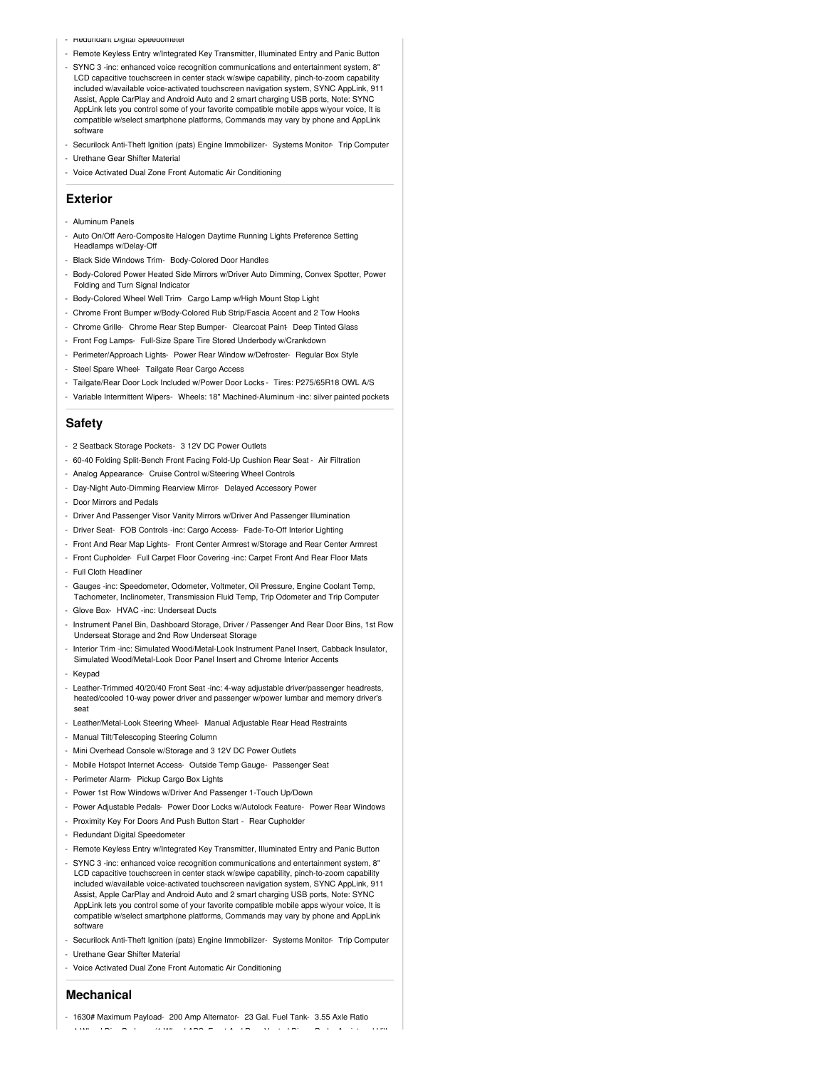- Heaunaant Digital Speedometer
- Remote Keyless Entry w/Integrated Key Transmitter, Illuminated Entry and Panic Button
- SYNC 3 -inc: enhanced voice recognition communications and entertainment system, 8" LCD capacitive touchscreen in center stack w/swipe capability, pinch-to-zoom capability included w/available voice-activated touchscreen navigation system, SYNC AppLink, 911 Assist, Apple CarPlay and Android Auto and 2 smart charging USB ports, Note: SYNC AppLink lets you control some of your favorite compatible mobile apps w/your voice, It is compatible w/select smartphone platforms, Commands may vary by phone and AppLink software
- Securilock Anti-Theft Ignition (pats) Engine Immobilizer- Systems Monitor- Trip Computer
- Urethane Gear Shifter Material
- Voice Activated Dual Zone Front Automatic Air Conditioning

#### **Exterior**

- Aluminum Panels
- Auto On/Off Aero-Composite Halogen Daytime Running Lights Preference Setting Headlamps w/Delay-Off
- Black Side Windows Trim- Body-Colored Door Handles
- Body-Colored Power Heated Side Mirrors w/Driver Auto Dimming, Convex Spotter, Power Folding and Turn Signal Indicator
- Body-Colored Wheel Well Trim- Cargo Lamp w/High Mount Stop Light
- Chrome Front Bumper w/Body-Colored Rub Strip/Fascia Accent and 2 Tow Hooks
- Chrome Grille- Chrome Rear Step Bumper- Clearcoat Paint- Deep Tinted Glass
- Front Fog Lamps- Full-Size Spare Tire Stored Underbody w/Crankdown
- Perimeter/Approach Lights- Power Rear Window w/Defroster- Regular Box Style
- Steel Spare Wheel- Tailgate Rear Cargo Access
- Tailgate/Rear Door Lock Included w/Power Door Locks Tires: P275/65R18 OWL A/S
- Variable Intermittent Wipers- Wheels: 18" Machined-Aluminum -inc: silver painted pockets

#### **Safety**

- 2 Seatback Storage Pockets- 3 12V DC Power Outlets
- 60-40 Folding Split-Bench Front Facing Fold-Up Cushion Rear Seat Air Filtration
- Analog Appearance- Cruise Control w/Steering Wheel Controls
- Day-Night Auto-Dimming Rearview Mirror- Delayed Accessory Power
- Door Mirrors and Pedals
- Driver And Passenger Visor Vanity Mirrors w/Driver And Passenger Illumination
- Driver Seat- FOB Controls -inc: Cargo Access- Fade-To-Off Interior Lighting
- Front And Rear Map Lights- Front Center Armrest w/Storage and Rear Center Armrest
- Front Cupholder- Full Carpet Floor Covering -inc: Carpet Front And Rear Floor Mats
- Full Cloth Headliner - Gauges -inc: Speedometer, Odometer, Voltmeter, Oil Pressure, Engine Coolant Temp,
- Tachometer, Inclinometer, Transmission Fluid Temp, Trip Odometer and Trip Computer
- Glove Box- HVAC -inc: Underseat Ducts
- Instrument Panel Bin, Dashboard Storage, Driver / Passenger And Rear Door Bins, 1st Row Underseat Storage and 2nd Row Underseat Storage
- Interior Trim -inc: Simulated Wood/Metal-Look Instrument Panel Insert, Cabback Insulator, Simulated Wood/Metal-Look Door Panel Insert and Chrome Interior Accents
- Keypad
- Leather-Trimmed 40/20/40 Front Seat -inc: 4-way adjustable driver/passenger headrests, heated/cooled 10-way power driver and passenger w/power lumbar and memory driver's seat
- Leather/Metal-Look Steering Wheel- Manual Adjustable Rear Head Restraints
- Manual Tilt/Telescoping Steering Column
- Mini Overhead Console w/Storage and 3 12V DC Power Outlets
- Mobile Hotspot Internet Access- Outside Temp Gauge- Passenger Seat
- Perimeter Alarm- Pickup Cargo Box Lights
- Power 1st Row Windows w/Driver And Passenger 1-Touch Up/Down
- Power Adjustable Pedals- Power Door Locks w/Autolock Feature- Power Rear Windows
- Proximity Key For Doors And Push Button Start Rear Cupholder
- Redundant Digital Speedometer
- Remote Keyless Entry w/Integrated Key Transmitter, Illuminated Entry and Panic Button
- SYNC 3 -inc: enhanced voice recognition communications and entertainment system, 8" LCD capacitive touchscreen in center stack w/swipe capability, pinch-to-zoom capability included w/available voice-activated touchscreen navigation system, SYNC AppLink, 911 Assist, Apple CarPlay and Android Auto and 2 smart charging USB ports, Note: SYNC AppLink lets you control some of your favorite compatible mobile apps w/your voice, It is compatible w/select smartphone platforms, Commands may vary by phone and AppLink software
- Securilock Anti-Theft Ignition (pats) Engine Immobilizer- Systems Monitor- Trip Computer - Urethane Gear Shifter Material
- Voice Activated Dual Zone Front Automatic Air Conditioning

#### **Mechanical**

- 1630# Maximum Payload- 200 Amp Alternator- 23 Gal. Fuel Tank- 3.55 Axle Ratio - 4-Wheel Disc Brakes w/4-Wheel ABS, Front And Rear Vented Discs, Brake Assist and Hill